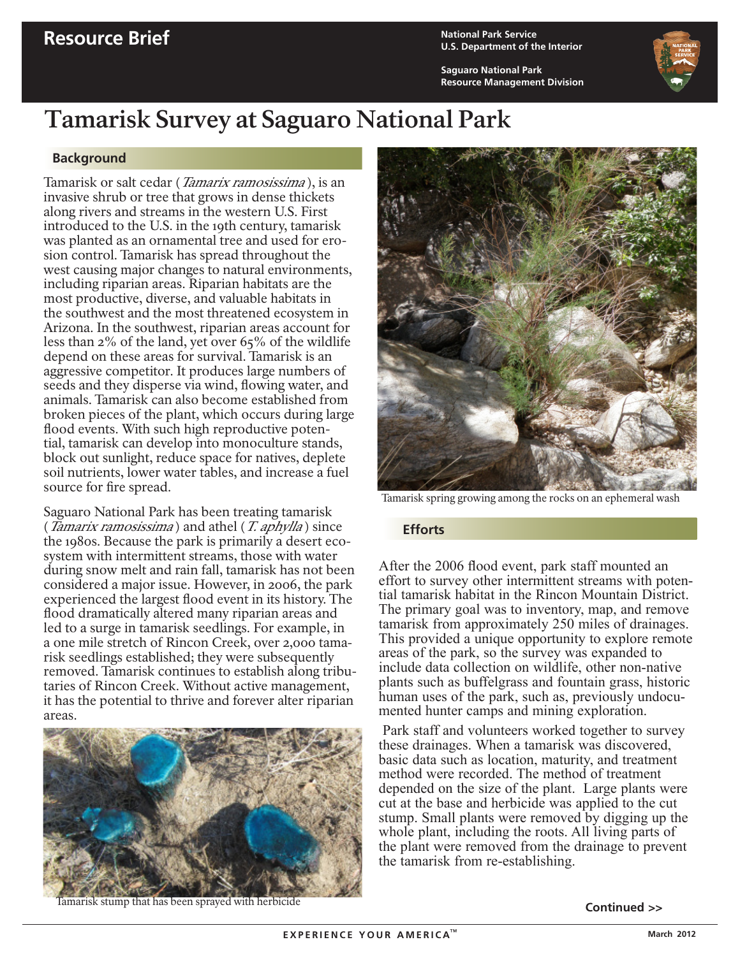**U.S. Department of the Interior**

**Saguaro National Park Resource Management Division**



# **Tamarisk Survey at Saguaro National Park**

### **Background**

Tamarisk or salt cedar (*Tamarix ramosissima*), is an invasive shrub or tree that grows in dense thickets along rivers and streams in the western U.S. First introduced to the U.S. in the 19th century, tamarisk was planted as an ornamental tree and used for erosion control. Tamarisk has spread throughout the west causing major changes to natural environments, including riparian areas. Riparian habitats are the most productive, diverse, and valuable habitats in the southwest and the most threatened ecosystem in Arizona. In the southwest, riparian areas account for less than 2% of the land, yet over 65% of the wildlife depend on these areas for survival. Tamarisk is an aggressive competitor. It produces large numbers of seeds and they disperse via wind, flowing water, and animals. Tamarisk can also become established from broken pieces of the plant, which occurs during large flood events. With such high reproductive potential, tamarisk can develop into monoculture stands, block out sunlight, reduce space for natives, deplete soil nutrients, lower water tables, and increase a fuel source for fire spread.

Saguaro National Park has been treating tamarisk (*Tamarix ramosissima*) and athel (*T. aphylla*) since the 1980s. Because the park is primarily a desert ecosystem with intermittent streams, those with water during snow melt and rain fall, tamarisk has not been considered a major issue. However, in 2006, the park experienced the largest flood event in its history. The flood dramatically altered many riparian areas and led to a surge in tamarisk seedlings. For example, in a one mile stretch of Rincon Creek, over 2,000 tamarisk seedlings established; they were subsequently removed. Tamarisk continues to establish along tributaries of Rincon Creek. Without active management, it has the potential to thrive and forever alter riparian areas.



Tamarisk stump that has been sprayed with herbicide



Tamarisk spring growing among the rocks on an ephemeral wash

#### **Efforts**

After the 2006 flood event, park staff mounted an effort to survey other intermittent streams with potential tamarisk habitat in the Rincon Mountain District. The primary goal was to inventory, map, and remove tamarisk from approximately 250 miles of drainages. This provided a unique opportunity to explore remote areas of the park, so the survey was expanded to include data collection on wildlife, other non-native plants such as buffelgrass and fountain grass, historic human uses of the park, such as, previously undocu- mented hunter camps and mining exploration.

 Park staff and volunteers worked together to survey these drainages. When a tamarisk was discovered, basic data such as location, maturity, and treatment method were recorded. The method of treatment depended on the size of the plant. Large plants were cut at the base and herbicide was applied to the cut stump. Small plants were removed by digging up the whole plant, including the roots. All living parts of the plant were removed from the drainage to prevent the tamarisk from re-establishing.